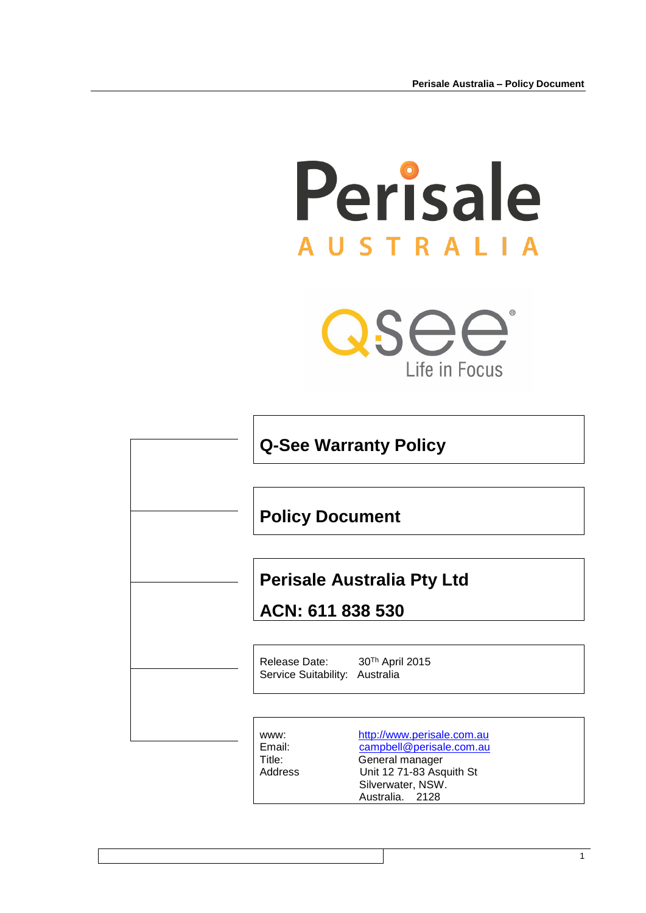# Perisale **AUSTRALIA**

QSee Life in Focus

| <b>Q-See Warranty Policy</b> |                                                       |                                                                                                                                               |  |
|------------------------------|-------------------------------------------------------|-----------------------------------------------------------------------------------------------------------------------------------------------|--|
|                              | <b>Policy Document</b>                                |                                                                                                                                               |  |
|                              | <b>Perisale Australia Pty Ltd</b><br>ACN: 611 838 530 |                                                                                                                                               |  |
|                              | Release Date:<br>Service Suitability: Australia       | 30 <sup>Th</sup> April 2015                                                                                                                   |  |
|                              | WWW:<br>Email:<br>Title:<br>Address                   | http://www.perisale.com.au<br>campbell@perisale.com.au<br>General manager<br>Unit 12 71-83 Asquith St<br>Silverwater, NSW.<br>Australia. 2128 |  |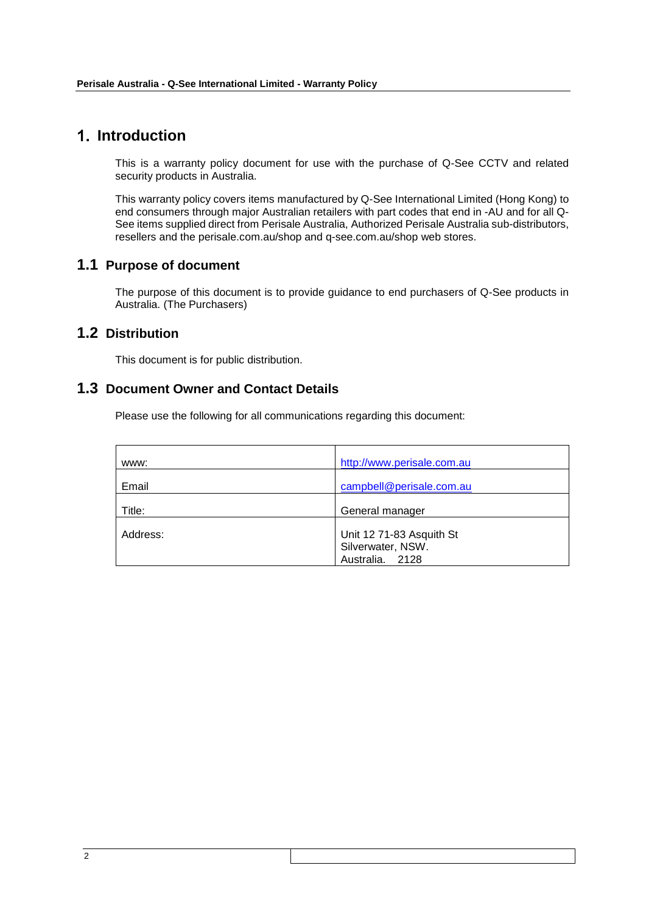## **Introduction**

This is a warranty policy document for use with the purchase of Q-See CCTV and related security products in Australia.

This warranty policy covers items manufactured by Q-See International Limited (Hong Kong) to end consumers through major Australian retailers with part codes that end in -AU and for all Q-See items supplied direct from Perisale Australia, Authorized Perisale Australia sub-distributors, resellers and the perisale.com.au/shop and q-see.com.au/shop web stores.

## **1.1 Purpose of document**

The purpose of this document is to provide guidance to end purchasers of Q-See products in Australia. (The Purchasers)

## **1.2 Distribution**

This document is for public distribution.

## **1.3 Document Owner and Contact Details**

Please use the following for all communications regarding this document:

| www:     | http://www.perisale.com.au                                       |
|----------|------------------------------------------------------------------|
| Email    | campbell@perisale.com.au                                         |
| Title:   | General manager                                                  |
| Address: | Unit 12 71-83 Asquith St<br>Silverwater, NSW.<br>Australia. 2128 |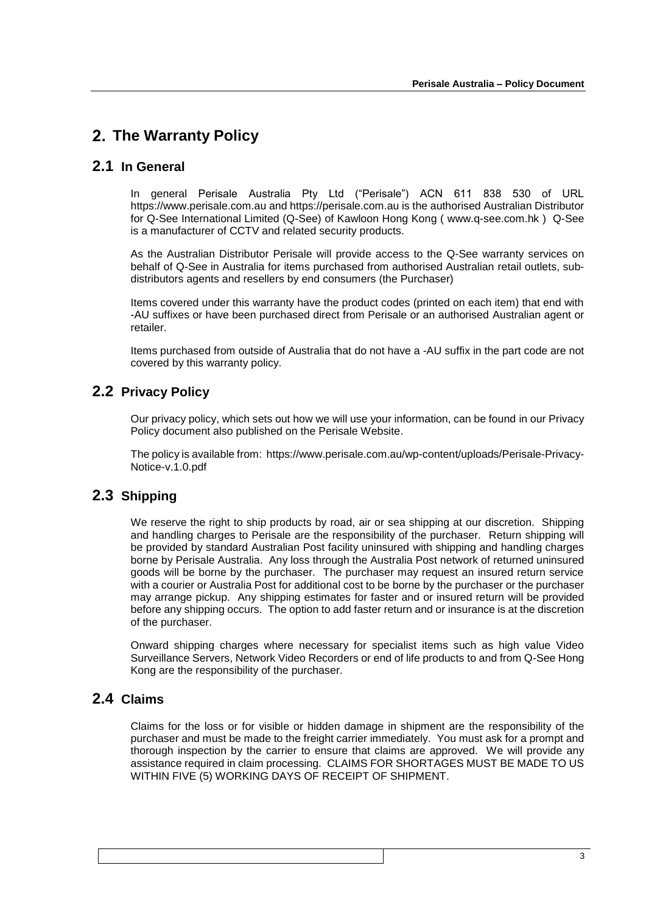## **The Warranty Policy**

## **2.1 In General**

In general Perisale Australia Pty Ltd ("Perisale") ACN 611 838 530 of URL https://www.perisale.com.au and https://perisale.com.au is the authorised Australian Distributor for Q-See International Limited (Q-See) of Kawloon Hong Kong ( www.q-see.com.hk ) Q-See is a manufacturer of CCTV and related security products.

As the Australian Distributor Perisale will provide access to the Q-See warranty services on behalf of Q-See in Australia for items purchased from authorised Australian retail outlets, subdistributors agents and resellers by end consumers (the Purchaser)

Items covered under this warranty have the product codes (printed on each item) that end with -AU suffixes or have been purchased direct from Perisale or an authorised Australian agent or retailer.

Items purchased from outside of Australia that do not have a -AU suffix in the part code are not covered by this warranty policy.

## **2.2 Privacy Policy**

Our privacy policy, which sets out how we will use your information, can be found in our Privacy Policy document also published on the Perisale Website.

The policy is available from: https://www.perisale.com.au/wp-content/uploads/Perisale-Privacy-Notice-v.1.0.pdf

## **2.3 Shipping**

We reserve the right to ship products by road, air or sea shipping at our discretion. Shipping and handling charges to Perisale are the responsibility of the purchaser. Return shipping will be provided by standard Australian Post facility uninsured with shipping and handling charges borne by Perisale Australia. Any loss through the Australia Post network of returned uninsured goods will be borne by the purchaser. The purchaser may request an insured return service with a courier or Australia Post for additional cost to be borne by the purchaser or the purchaser may arrange pickup. Any shipping estimates for faster and or insured return will be provided before any shipping occurs. The option to add faster return and or insurance is at the discretion of the purchaser.

Onward shipping charges where necessary for specialist items such as high value Video Surveillance Servers, Network Video Recorders or end of life products to and from Q-See Hong Kong are the responsibility of the purchaser.

## **2.4 Claims**

Claims for the loss or for visible or hidden damage in shipment are the responsibility of the purchaser and must be made to the freight carrier immediately. You must ask for a prompt and thorough inspection by the carrier to ensure that claims are approved. We will provide any assistance required in claim processing. CLAIMS FOR SHORTAGES MUST BE MADE TO US WITHIN FIVE (5) WORKING DAYS OF RECEIPT OF SHIPMENT.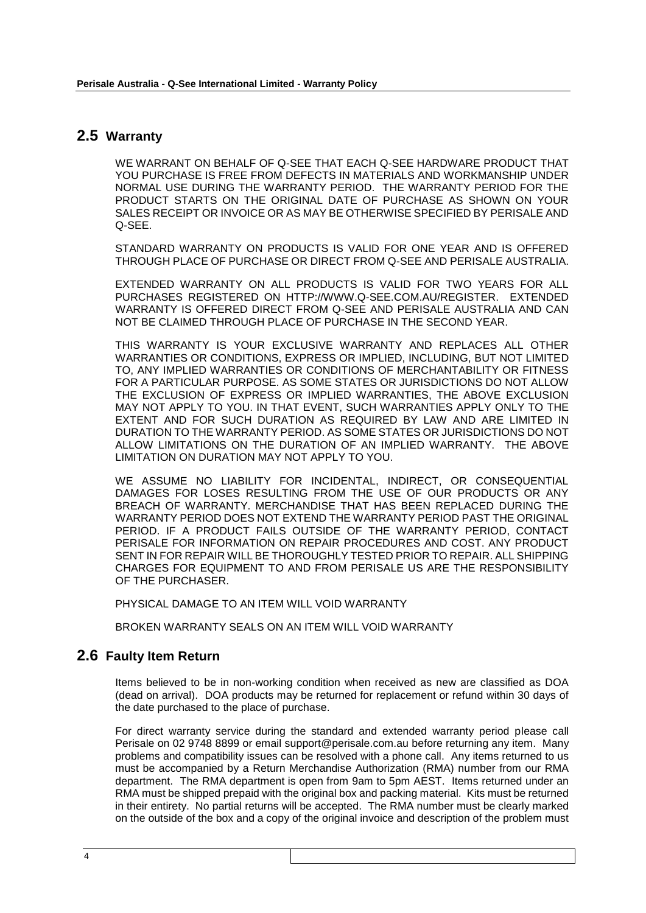## **2.5 Warranty**

WE WARRANT ON BEHALF OF Q-SEE THAT EACH Q-SEE HARDWARE PRODUCT THAT YOU PURCHASE IS FREE FROM DEFECTS IN MATERIALS AND WORKMANSHIP UNDER NORMAL USE DURING THE WARRANTY PERIOD. THE WARRANTY PERIOD FOR THE PRODUCT STARTS ON THE ORIGINAL DATE OF PURCHASE AS SHOWN ON YOUR SALES RECEIPT OR INVOICE OR AS MAY BE OTHERWISE SPECIFIED BY PERISALE AND Q-SEE.

STANDARD WARRANTY ON PRODUCTS IS VALID FOR ONE YEAR AND IS OFFERED THROUGH PLACE OF PURCHASE OR DIRECT FROM Q-SEE AND PERISALE AUSTRALIA.

EXTENDED WARRANTY ON ALL PRODUCTS IS VALID FOR TWO YEARS FOR ALL PURCHASES REGISTERED ON HTTP://WWW.Q-SEE.COM.AU/REGISTER. EXTENDED WARRANTY IS OFFERED DIRECT FROM Q-SEE AND PERISALE AUSTRALIA AND CAN NOT BE CLAIMED THROUGH PLACE OF PURCHASE IN THE SECOND YEAR.

THIS WARRANTY IS YOUR EXCLUSIVE WARRANTY AND REPLACES ALL OTHER WARRANTIES OR CONDITIONS, EXPRESS OR IMPLIED, INCLUDING, BUT NOT LIMITED TO, ANY IMPLIED WARRANTIES OR CONDITIONS OF MERCHANTABILITY OR FITNESS FOR A PARTICULAR PURPOSE. AS SOME STATES OR JURISDICTIONS DO NOT ALLOW THE EXCLUSION OF EXPRESS OR IMPLIED WARRANTIES, THE ABOVE EXCLUSION MAY NOT APPLY TO YOU. IN THAT EVENT, SUCH WARRANTIES APPLY ONLY TO THE EXTENT AND FOR SUCH DURATION AS REQUIRED BY LAW AND ARE LIMITED IN DURATION TO THE WARRANTY PERIOD. AS SOME STATES OR JURISDICTIONS DO NOT ALLOW LIMITATIONS ON THE DURATION OF AN IMPLIED WARRANTY. THE ABOVE LIMITATION ON DURATION MAY NOT APPLY TO YOU.

WE ASSUME NO LIABILITY FOR INCIDENTAL, INDIRECT, OR CONSEQUENTIAL DAMAGES FOR LOSES RESULTING FROM THE USE OF OUR PRODUCTS OR ANY BREACH OF WARRANTY. MERCHANDISE THAT HAS BEEN REPLACED DURING THE WARRANTY PERIOD DOES NOT EXTEND THE WARRANTY PERIOD PAST THE ORIGINAL PERIOD. IF A PRODUCT FAILS OUTSIDE OF THE WARRANTY PERIOD, CONTACT PERISALE FOR INFORMATION ON REPAIR PROCEDURES AND COST. ANY PRODUCT SENT IN FOR REPAIR WILL BE THOROUGHLY TESTED PRIOR TO REPAIR. ALL SHIPPING CHARGES FOR EQUIPMENT TO AND FROM PERISALE US ARE THE RESPONSIBILITY OF THE PURCHASER.

PHYSICAL DAMAGE TO AN ITEM WILL VOID WARRANTY

BROKEN WARRANTY SEALS ON AN ITEM WILL VOID WARRANTY

## **2.6 Faulty Item Return**

Items believed to be in non-working condition when received as new are classified as DOA (dead on arrival). DOA products may be returned for replacement or refund within 30 days of the date purchased to the place of purchase.

For direct warranty service during the standard and extended warranty period please call Perisale on 02 9748 8899 or email support@perisale.com.au before returning any item. Many problems and compatibility issues can be resolved with a phone call. Any items returned to us must be accompanied by a Return Merchandise Authorization (RMA) number from our RMA department. The RMA department is open from 9am to 5pm AEST. Items returned under an RMA must be shipped prepaid with the original box and packing material. Kits must be returned in their entirety. No partial returns will be accepted. The RMA number must be clearly marked on the outside of the box and a copy of the original invoice and description of the problem must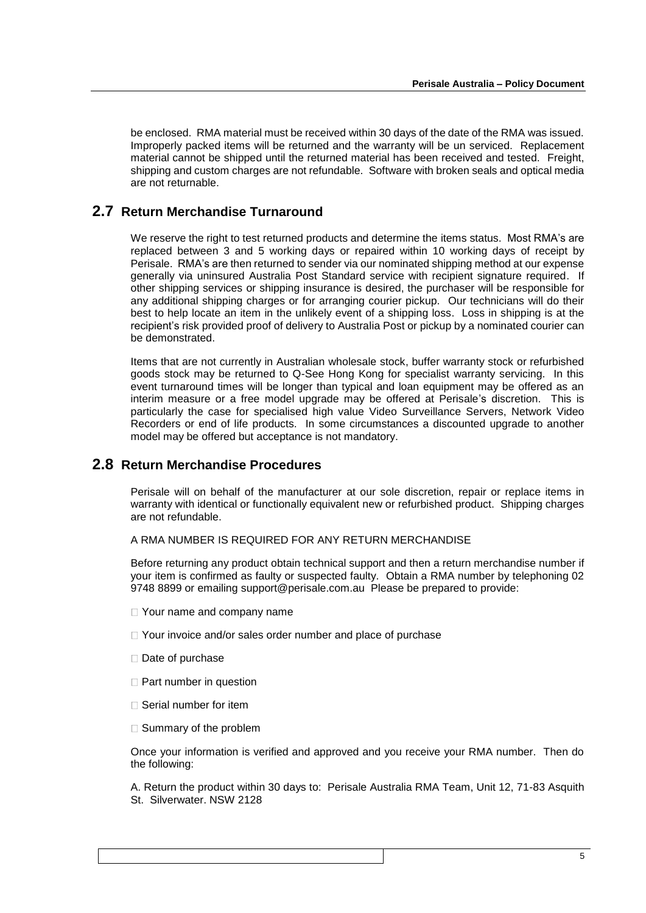be enclosed. RMA material must be received within 30 days of the date of the RMA was issued. Improperly packed items will be returned and the warranty will be un serviced. Replacement material cannot be shipped until the returned material has been received and tested. Freight, shipping and custom charges are not refundable. Software with broken seals and optical media are not returnable.

#### **2.7 Return Merchandise Turnaround**

We reserve the right to test returned products and determine the items status. Most RMA's are replaced between 3 and 5 working days or repaired within 10 working days of receipt by Perisale. RMA's are then returned to sender via our nominated shipping method at our expense generally via uninsured Australia Post Standard service with recipient signature required. If other shipping services or shipping insurance is desired, the purchaser will be responsible for any additional shipping charges or for arranging courier pickup. Our technicians will do their best to help locate an item in the unlikely event of a shipping loss. Loss in shipping is at the recipient's risk provided proof of delivery to Australia Post or pickup by a nominated courier can be demonstrated.

Items that are not currently in Australian wholesale stock, buffer warranty stock or refurbished goods stock may be returned to Q-See Hong Kong for specialist warranty servicing. In this event turnaround times will be longer than typical and loan equipment may be offered as an interim measure or a free model upgrade may be offered at Perisale's discretion. This is particularly the case for specialised high value Video Surveillance Servers, Network Video Recorders or end of life products. In some circumstances a discounted upgrade to another model may be offered but acceptance is not mandatory.

#### **2.8 Return Merchandise Procedures**

Perisale will on behalf of the manufacturer at our sole discretion, repair or replace items in warranty with identical or functionally equivalent new or refurbished product. Shipping charges are not refundable.

#### A RMA NUMBER IS REQUIRED FOR ANY RETURN MERCHANDISE

Before returning any product obtain technical support and then a return merchandise number if your item is confirmed as faulty or suspected faulty. Obtain a RMA number by telephoning 02 9748 8899 or emailing support@perisale.com.au Please be prepared to provide:

- □ Your name and company name
- □ Your invoice and/or sales order number and place of purchase
- Date of purchase
- $\Box$  Part number in question
- $\Box$  Serial number for item
- $\square$  Summary of the problem

Once your information is verified and approved and you receive your RMA number. Then do the following:

A. Return the product within 30 days to: Perisale Australia RMA Team, Unit 12, 71-83 Asquith St. Silverwater. NSW 2128